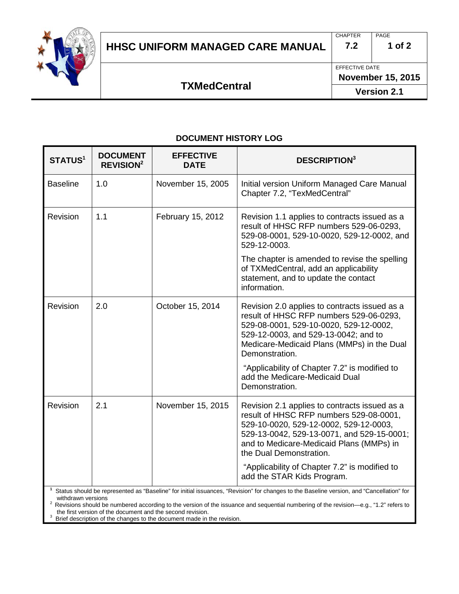

### **HHSC UNIFORM MANAGED CARE MANUAL 7.2 1 of 2**

EFFECTIVE DATE

# **TXMedCentral**

**Version 2.1**

#### **DOCUMENT HISTORY LOG**

| <b>STATUS1</b>  | <b>DOCUMENT</b><br><b>REVISION<sup>2</sup></b> | <b>EFFECTIVE</b><br><b>DATE</b> | <b>DESCRIPTION</b> <sup>3</sup>                                                                                                                                                                                                                                                                          |
|-----------------|------------------------------------------------|---------------------------------|----------------------------------------------------------------------------------------------------------------------------------------------------------------------------------------------------------------------------------------------------------------------------------------------------------|
| <b>Baseline</b> | 1.0                                            | November 15, 2005               | Initial version Uniform Managed Care Manual<br>Chapter 7.2, "TexMedCentral"                                                                                                                                                                                                                              |
| Revision        | 1.1                                            | February 15, 2012               | Revision 1.1 applies to contracts issued as a<br>result of HHSC RFP numbers 529-06-0293,<br>529-08-0001, 529-10-0020, 529-12-0002, and<br>529-12-0003.                                                                                                                                                   |
|                 |                                                |                                 | The chapter is amended to revise the spelling<br>of TXMedCentral, add an applicability<br>statement, and to update the contact<br>information.                                                                                                                                                           |
| Revision        | 2.0                                            | October 15, 2014                | Revision 2.0 applies to contracts issued as a<br>result of HHSC RFP numbers 529-06-0293,<br>529-08-0001, 529-10-0020, 529-12-0002,<br>529-12-0003, and 529-13-0042; and to<br>Medicare-Medicaid Plans (MMPs) in the Dual<br>Demonstration.                                                               |
|                 |                                                |                                 | "Applicability of Chapter 7.2" is modified to<br>add the Medicare-Medicaid Dual<br>Demonstration.                                                                                                                                                                                                        |
| <b>Revision</b> | 2.1                                            | November 15, 2015               | Revision 2.1 applies to contracts issued as a<br>result of HHSC RFP numbers 529-08-0001,<br>529-10-0020, 529-12-0002, 529-12-0003,<br>529-13-0042, 529-13-0071, and 529-15-0001;<br>and to Medicare-Medicaid Plans (MMPs) in<br>the Dual Demonstration.<br>"Applicability of Chapter 7.2" is modified to |
|                 |                                                |                                 | add the STAR Kids Program.                                                                                                                                                                                                                                                                               |

**1** Status should be represented as "Baseline" for initial issuances, "Revision" for changes to the Baseline version, and "Cancellation" for

withdrawn versions<br>
<sup>2</sup> Revisions should be numbered according to the version of the issuance and sequential numbering of the revision—e.g., "1.2" refers to<br>
<sup>2</sup> Revisions should be numbered according to the version of the

<sup>3</sup> Brief description of the changes to the document made in the revision.